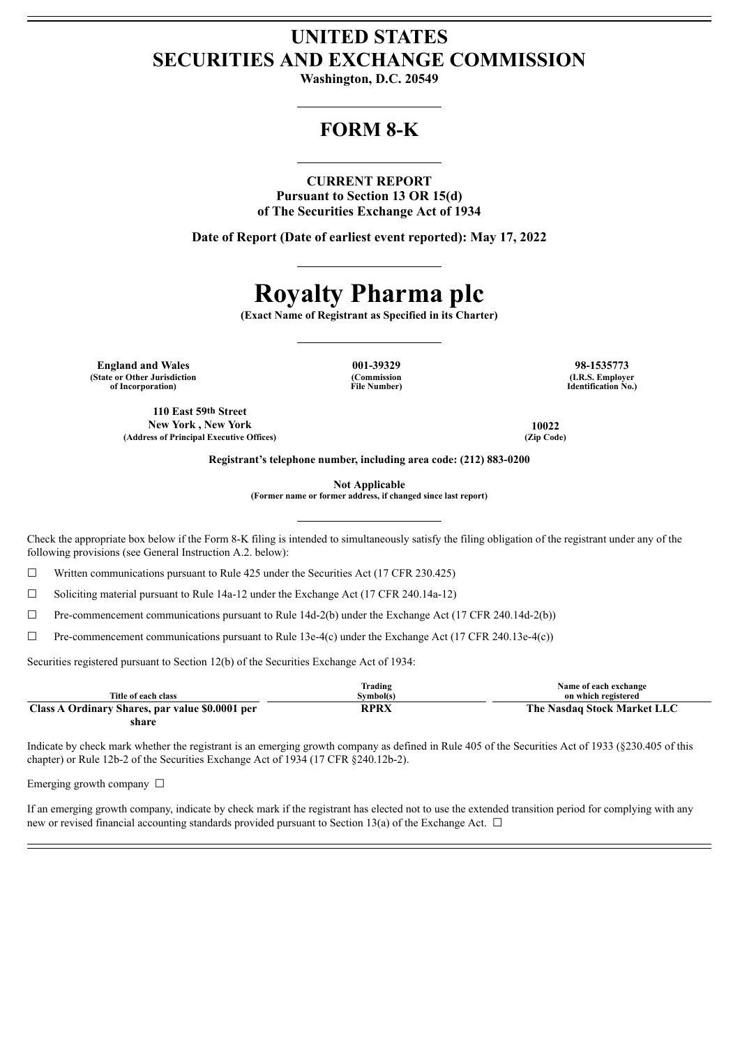# **UNITED STATES SECURITIES AND EXCHANGE COMMISSION**

**Washington, D.C. 20549**

## **FORM 8-K**

### **CURRENT REPORT**

**Pursuant to Section 13 OR 15(d) of The Securities Exchange Act of 1934**

**Date of Report (Date of earliest event reported): May 17, 2022**

# **Royalty Pharma plc**

**(Exact Name of Registrant as Specified in its Charter)**

**England and Wales 001-39329 98-1535773 (State or Other Jurisdiction of Incorporation)**

**110 East 59th Street New York , New York 10022 (Address of Principal Executive Offices) (Zip Code)**

**(Commission File Number)**

**(I.R.S. Employer Identification No.)**

**Registrant's telephone number, including area code: (212) 883-0200**

**Not Applicable**

**(Former name or former address, if changed since last report)**

Check the appropriate box below if the Form 8-K filing is intended to simultaneously satisfy the filing obligation of the registrant under any of the following provisions (see General Instruction A.2. below):

 $\Box$  Written communications pursuant to Rule 425 under the Securities Act (17 CFR 230.425)

☐ Soliciting material pursuant to Rule 14a-12 under the Exchange Act (17 CFR 240.14a-12)

 $\Box$  Pre-commencement communications pursuant to Rule 14d-2(b) under the Exchange Act (17 CFR 240.14d-2(b))

 $\Box$  Pre-commencement communications pursuant to Rule 13e-4(c) under the Exchange Act (17 CFR 240.13e-4(c))

Securities registered pursuant to Section 12(b) of the Securities Exchange Act of 1934:

| Title of each class                             | Trading<br>Svmbol(s) | Name of each exchange<br>on which registered |
|-------------------------------------------------|----------------------|----------------------------------------------|
| Class A Ordinary Shares, par value \$0,0001 per | RPRX                 | The Nasdaq Stock Market LLC                  |
| share                                           |                      |                                              |

Indicate by check mark whether the registrant is an emerging growth company as defined in Rule 405 of the Securities Act of 1933 (§230.405 of this chapter) or Rule 12b-2 of the Securities Exchange Act of 1934 (17 CFR §240.12b-2).

Emerging growth company  $\Box$ 

If an emerging growth company, indicate by check mark if the registrant has elected not to use the extended transition period for complying with any new or revised financial accounting standards provided pursuant to Section 13(a) of the Exchange Act.  $\Box$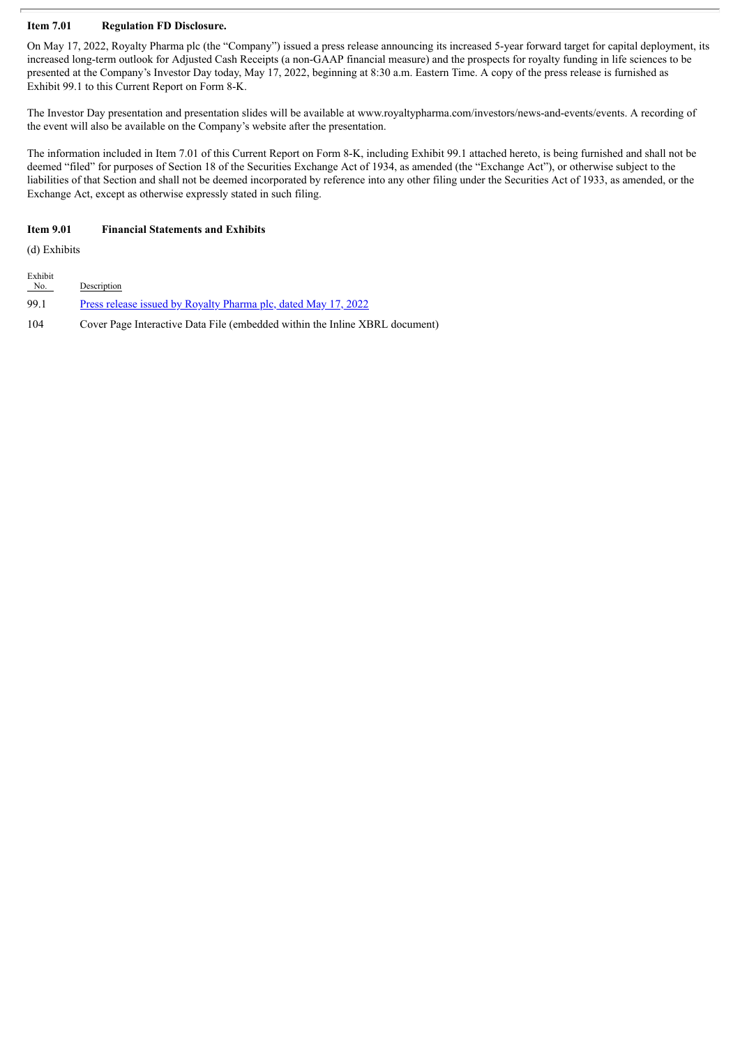### **Item 7.01 Regulation FD Disclosure.**

On May 17, 2022, Royalty Pharma plc (the "Company") issued a press release announcing its increased 5-year forward target for capital deployment, its increased long-term outlook for Adjusted Cash Receipts (a non-GAAP financial measure) and the prospects for royalty funding in life sciences to be presented at the Company's Investor Day today, May 17, 2022, beginning at 8:30 a.m. Eastern Time. A copy of the press release is furnished as Exhibit 99.1 to this Current Report on Form 8-K.

The Investor Day presentation and presentation slides will be available at www.royaltypharma.com/investors/news-and-events/events. A recording of the event will also be available on the Company's website after the presentation.

The information included in Item 7.01 of this Current Report on Form 8-K, including Exhibit 99.1 attached hereto, is being furnished and shall not be deemed "filed" for purposes of Section 18 of the Securities Exchange Act of 1934, as amended (the "Exchange Act"), or otherwise subject to the liabilities of that Section and shall not be deemed incorporated by reference into any other filing under the Securities Act of 1933, as amended, or the Exchange Act, except as otherwise expressly stated in such filing.

### **Item 9.01 Financial Statements and Exhibits**

(d) Exhibits

| Exhibit<br>No. | Description                                                                 |
|----------------|-----------------------------------------------------------------------------|
| 99.1           | <u>Press release issued by Royalty Pharma plc, dated May 17, 2022</u>       |
| 104            | Cover Page Interactive Data File (embedded within the Inline XBRL document) |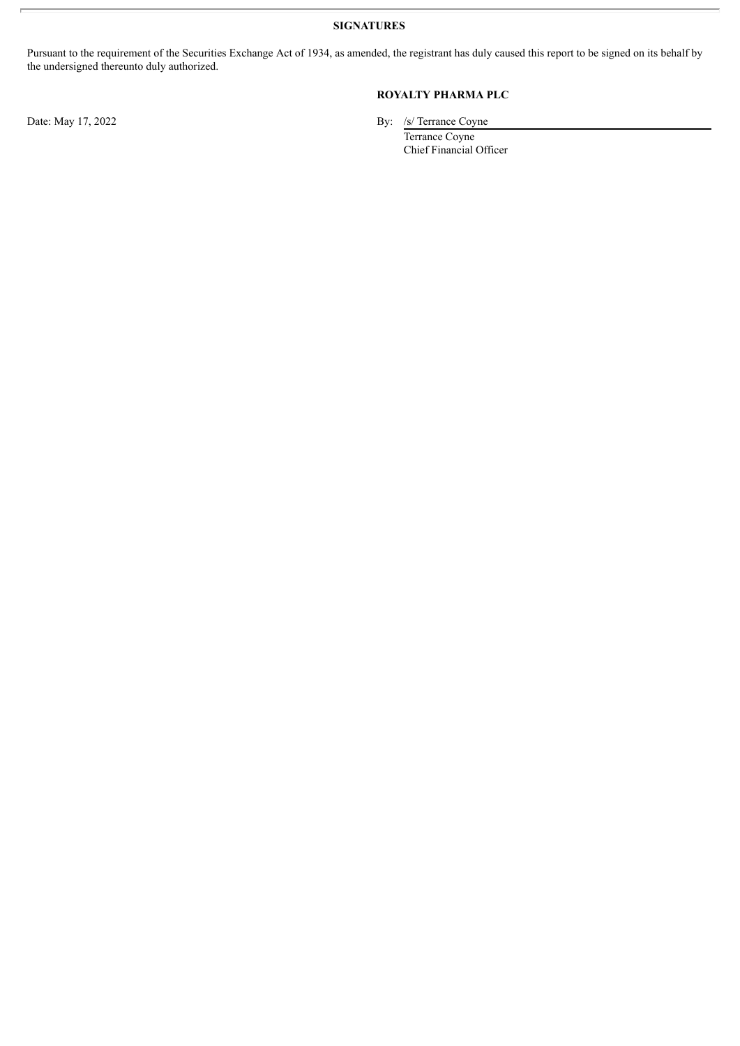**SIGNATURES**

Pursuant to the requirement of the Securities Exchange Act of 1934, as amended, the registrant has duly caused this report to be signed on its behalf by the undersigned thereunto duly authorized.

## **ROYALTY PHARMA PLC**

Date: May 17, 2022 By: /s/ Terrance Coyne

Terrance Coyne Chief Financial Officer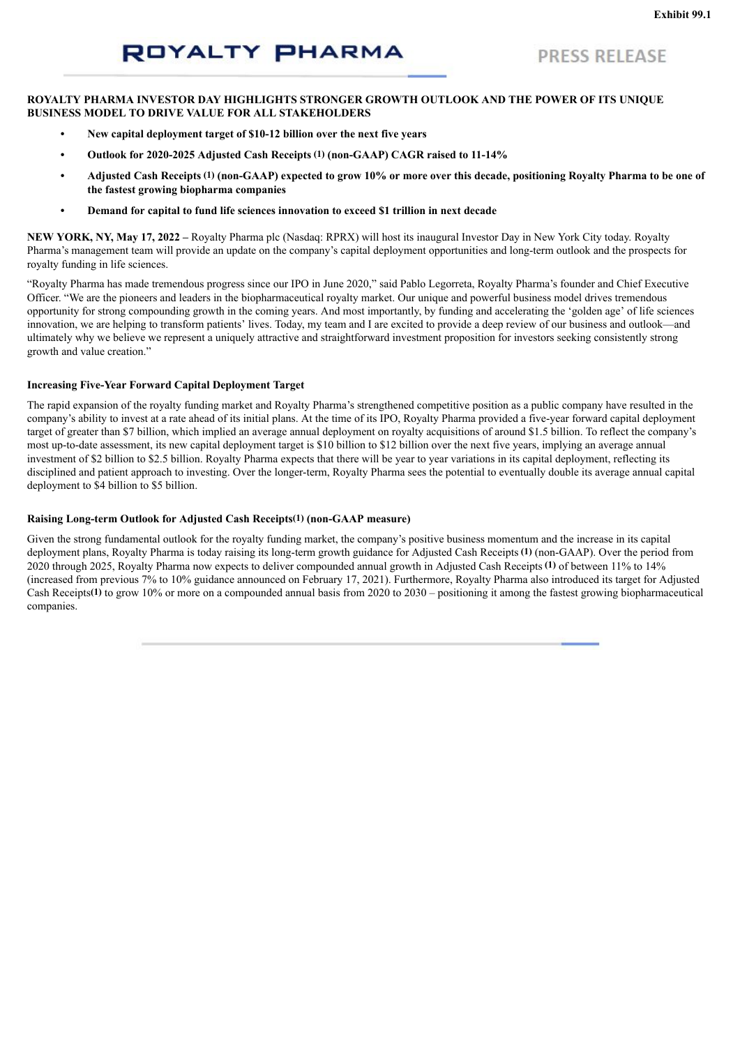## **PRESS RELEASE**

## <span id="page-3-0"></span>**ROYALTY PHARMA INVESTOR DAY HIGHLIGHTS STRONGER GROWTH OUTLOOK AND THE POWER OF ITS UNIQUE BUSINESS MODEL TO DRIVE VALUE FOR ALL STAKEHOLDERS**

- **• New capital deployment target of \$10-12 billion over the next five years**
- **• Outlook for 2020-2025 Adjusted Cash Receipts (1) (non-GAAP) CAGR raised to 11-14%**
- Adjusted Cash Receipts (1) (non-GAAP) expected to grow 10% or more over this decade, positioning Royalty Pharma to be one of **the fastest growing biopharma companies**
- **• Demand for capital to fund life sciences innovation to exceed \$1 trillion in next decade**

**NEW YORK, NY, May 17, 2022 –** Royalty Pharma plc (Nasdaq: RPRX) will host its inaugural Investor Day in New York City today. Royalty Pharma's management team will provide an update on the company's capital deployment opportunities and long-term outlook and the prospects for royalty funding in life sciences.

"Royalty Pharma has made tremendous progress since our IPO in June 2020," said Pablo Legorreta, Royalty Pharma's founder and Chief Executive Officer. "We are the pioneers and leaders in the biopharmaceutical royalty market. Our unique and powerful business model drives tremendous opportunity for strong compounding growth in the coming years. And most importantly, by funding and accelerating the 'golden age' of life sciences innovation, we are helping to transform patients' lives. Today, my team and I are excited to provide a deep review of our business and outlook—and ultimately why we believe we represent a uniquely attractive and straightforward investment proposition for investors seeking consistently strong growth and value creation."

#### **Increasing Five-Year Forward Capital Deployment Target**

The rapid expansion of the royalty funding market and Royalty Pharma's strengthened competitive position as a public company have resulted in the company's ability to invest at a rate ahead of its initial plans. At the time of its IPO, Royalty Pharma provided a five-year forward capital deployment target of greater than \$7 billion, which implied an average annual deployment on royalty acquisitions of around \$1.5 billion. To reflect the company's most up-to-date assessment, its new capital deployment target is \$10 billion to \$12 billion over the next five years, implying an average annual investment of \$2 billion to \$2.5 billion. Royalty Pharma expects that there will be year to year variations in its capital deployment, reflecting its disciplined and patient approach to investing. Over the longer-term, Royalty Pharma sees the potential to eventually double its average annual capital deployment to \$4 billion to \$5 billion.

### **Raising Long-term Outlook for Adjusted Cash Receipts(1) (non-GAAP measure)**

Given the strong fundamental outlook for the royalty funding market, the company's positive business momentum and the increase in its capital deployment plans, Royalty Pharma is today raising its long-term growth guidance for Adjusted Cash Receipts **(1)** (non-GAAP). Over the period from 2020 through 2025, Royalty Pharma now expects to deliver compounded annual growth in Adjusted Cash Receipts **(1)** of between 11% to 14% (increased from previous 7% to 10% guidance announced on February 17, 2021). Furthermore, Royalty Pharma also introduced its target for Adjusted Cash Receipts**(1)** to grow 10% or more on a compounded annual basis from 2020 to 2030 – positioning it among the fastest growing biopharmaceutical companies.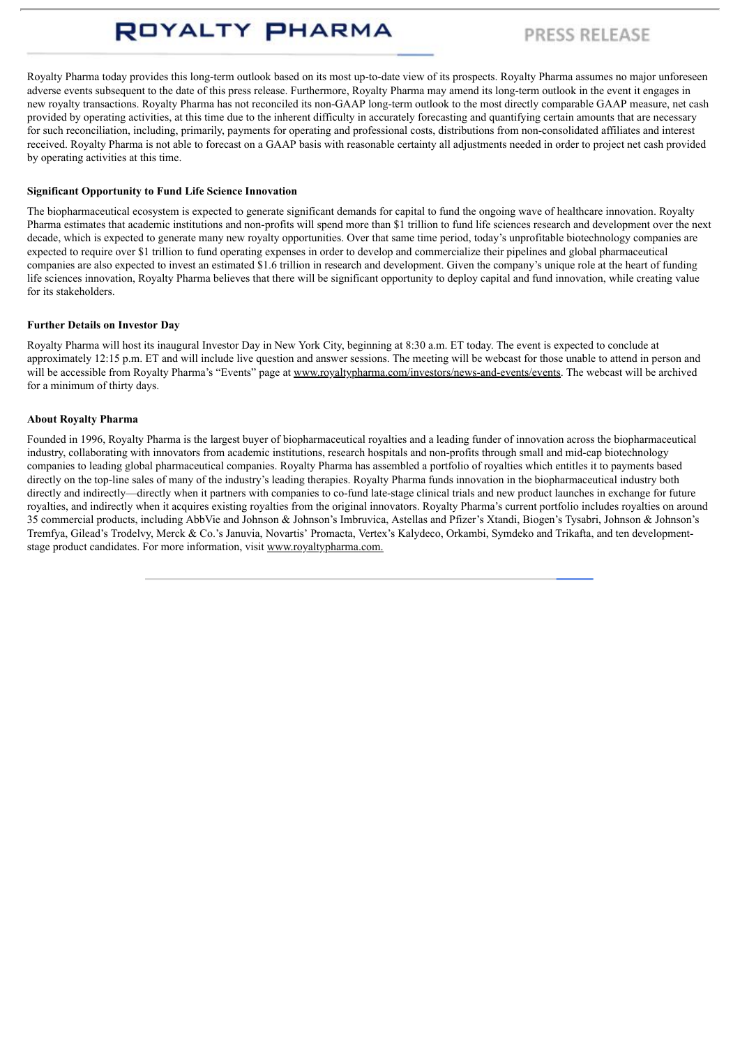# **PRESS RELEASE**

Royalty Pharma today provides this long-term outlook based on its most up-to-date view of its prospects. Royalty Pharma assumes no major unforeseen adverse events subsequent to the date of this press release. Furthermore, Royalty Pharma may amend its long-term outlook in the event it engages in new royalty transactions. Royalty Pharma has not reconciled its non-GAAP long-term outlook to the most directly comparable GAAP measure, net cash provided by operating activities, at this time due to the inherent difficulty in accurately forecasting and quantifying certain amounts that are necessary for such reconciliation, including, primarily, payments for operating and professional costs, distributions from non-consolidated affiliates and interest received. Royalty Pharma is not able to forecast on a GAAP basis with reasonable certainty all adjustments needed in order to project net cash provided by operating activities at this time.

## **Significant Opportunity to Fund Life Science Innovation**

The biopharmaceutical ecosystem is expected to generate significant demands for capital to fund the ongoing wave of healthcare innovation. Royalty Pharma estimates that academic institutions and non-profits will spend more than \$1 trillion to fund life sciences research and development over the next decade, which is expected to generate many new royalty opportunities. Over that same time period, today's unprofitable biotechnology companies are expected to require over \$1 trillion to fund operating expenses in order to develop and commercialize their pipelines and global pharmaceutical companies are also expected to invest an estimated \$1.6 trillion in research and development. Given the company's unique role at the heart of funding life sciences innovation, Royalty Pharma believes that there will be significant opportunity to deploy capital and fund innovation, while creating value for its stakeholders.

### **Further Details on Investor Day**

Royalty Pharma will host its inaugural Investor Day in New York City, beginning at 8:30 a.m. ET today. The event is expected to conclude at approximately 12:15 p.m. ET and will include live question and answer sessions. The meeting will be webcast for those unable to attend in person and will be accessible from Royalty Pharma's "Events" page at www.royaltypharma.com/investors/news-and-events/events. The webcast will be archived for a minimum of thirty days.

### **About Royalty Pharma**

Founded in 1996, Royalty Pharma is the largest buyer of biopharmaceutical royalties and a leading funder of innovation across the biopharmaceutical industry, collaborating with innovators from academic institutions, research hospitals and non-profits through small and mid-cap biotechnology companies to leading global pharmaceutical companies. Royalty Pharma has assembled a portfolio of royalties which entitles it to payments based directly on the top-line sales of many of the industry's leading therapies. Royalty Pharma funds innovation in the biopharmaceutical industry both directly and indirectly—directly when it partners with companies to co-fund late-stage clinical trials and new product launches in exchange for future royalties, and indirectly when it acquires existing royalties from the original innovators. Royalty Pharma's current portfolio includes royalties on around 35 commercial products, including AbbVie and Johnson & Johnson's Imbruvica, Astellas and Pfizer's Xtandi, Biogen's Tysabri, Johnson & Johnson's Tremfya, Gilead's Trodelvy, Merck & Co.'s Januvia, Novartis' Promacta, Vertex's Kalydeco, Orkambi, Symdeko and Trikafta, and ten developmentstage product candidates. For more information, visit www.royaltypharma.com.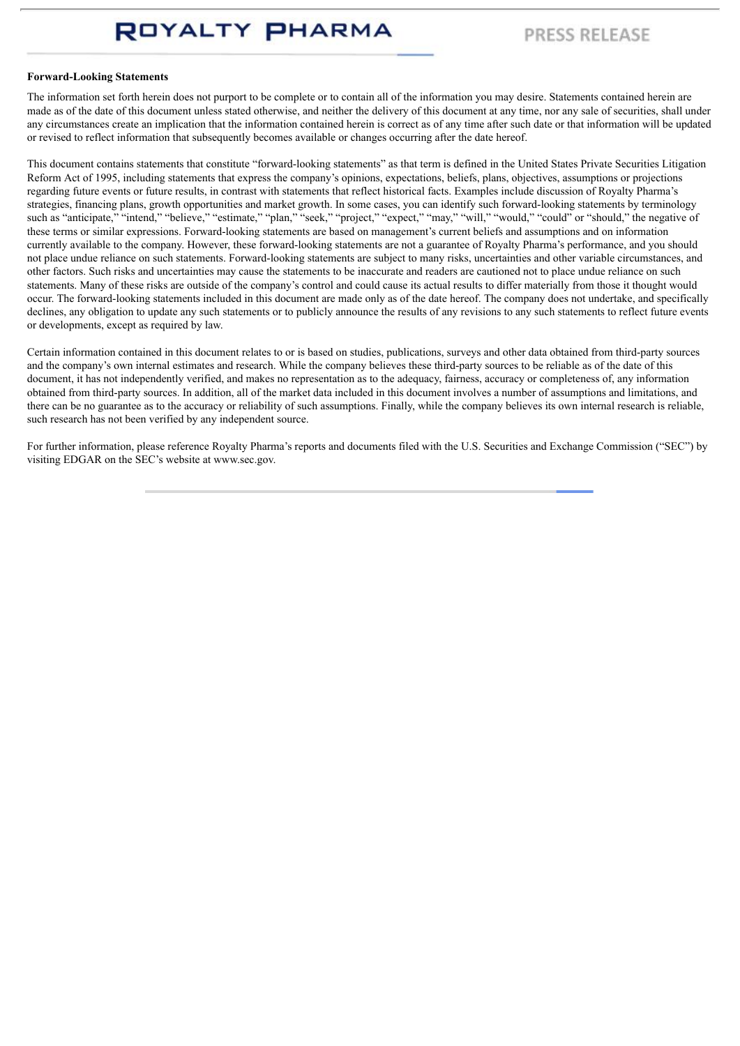## **PRESS RELEASE**

#### **Forward-Looking Statements**

The information set forth herein does not purport to be complete or to contain all of the information you may desire. Statements contained herein are made as of the date of this document unless stated otherwise, and neither the delivery of this document at any time, nor any sale of securities, shall under any circumstances create an implication that the information contained herein is correct as of any time after such date or that information will be updated or revised to reflect information that subsequently becomes available or changes occurring after the date hereof.

This document contains statements that constitute "forward-looking statements" as that term is defined in the United States Private Securities Litigation Reform Act of 1995, including statements that express the company's opinions, expectations, beliefs, plans, objectives, assumptions or projections regarding future events or future results, in contrast with statements that reflect historical facts. Examples include discussion of Royalty Pharma's strategies, financing plans, growth opportunities and market growth. In some cases, you can identify such forward-looking statements by terminology such as "anticipate," "intend," "believe," "estimate," "plan," "seek," "project," "expect," "may," "will," "would," "could" or "should," the negative of these terms or similar expressions. Forward-looking statements are based on management's current beliefs and assumptions and on information currently available to the company. However, these forward-looking statements are not a guarantee of Royalty Pharma's performance, and you should not place undue reliance on such statements. Forward-looking statements are subject to many risks, uncertainties and other variable circumstances, and other factors. Such risks and uncertainties may cause the statements to be inaccurate and readers are cautioned not to place undue reliance on such statements. Many of these risks are outside of the company's control and could cause its actual results to differ materially from those it thought would occur. The forward-looking statements included in this document are made only as of the date hereof. The company does not undertake, and specifically declines, any obligation to update any such statements or to publicly announce the results of any revisions to any such statements to reflect future events or developments, except as required by law.

Certain information contained in this document relates to or is based on studies, publications, surveys and other data obtained from third-party sources and the company's own internal estimates and research. While the company believes these third-party sources to be reliable as of the date of this document, it has not independently verified, and makes no representation as to the adequacy, fairness, accuracy or completeness of, any information obtained from third-party sources. In addition, all of the market data included in this document involves a number of assumptions and limitations, and there can be no guarantee as to the accuracy or reliability of such assumptions. Finally, while the company believes its own internal research is reliable, such research has not been verified by any independent source.

For further information, please reference Royalty Pharma's reports and documents filed with the U.S. Securities and Exchange Commission ("SEC") by visiting EDGAR on the SEC's website at www.sec.gov.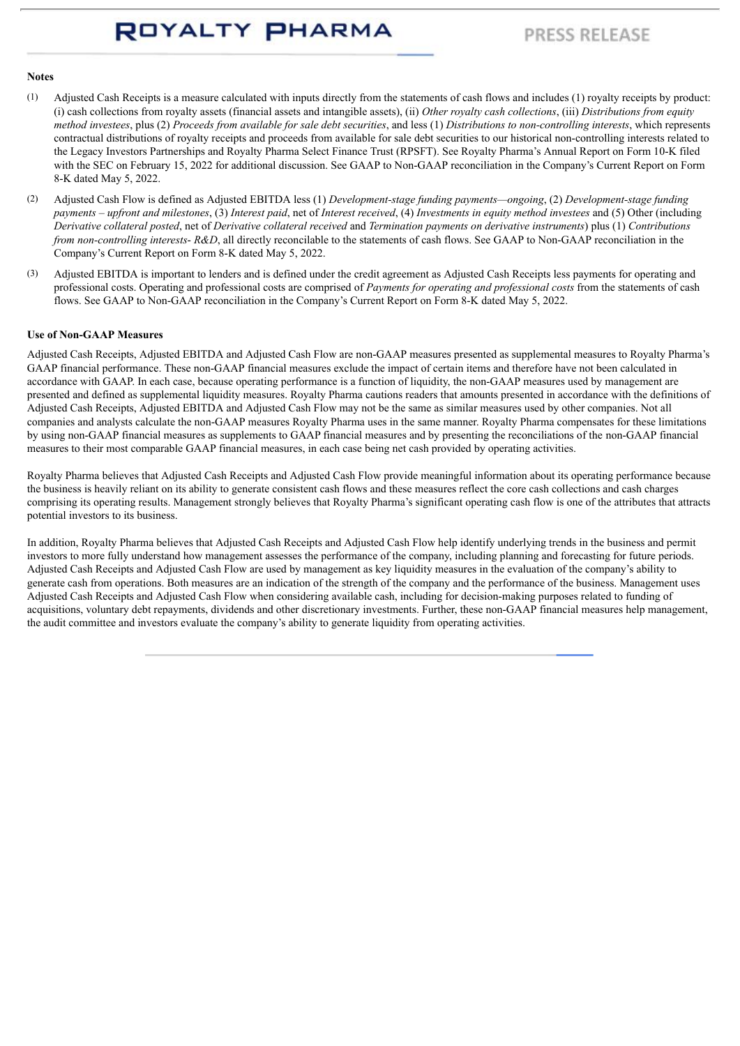## **PRESS RELEASE**

### **Notes**

- (1) Adjusted Cash Receipts is a measure calculated with inputs directly from the statements of cash flows and includes (1) royalty receipts by product: (i) cash collections from royalty assets (financial assets and intangible assets), (ii) *Other royalty cash collections*, (iii) *Distributions from equity* method investees, plus (2) Proceeds from available for sale debt securities, and less (1) Distributions to non-controlling interests, which represents contractual distributions of royalty receipts and proceeds from available for sale debt securities to our historical non-controlling interests related to the Legacy Investors Partnerships and Royalty Pharma Select Finance Trust (RPSFT). See Royalty Pharma's Annual Report on Form 10-K filed with the SEC on February 15, 2022 for additional discussion. See GAAP to Non-GAAP reconciliation in the Company's Current Report on Form 8-K dated May 5, 2022.
- (2) Adjusted Cash Flow is defined as Adjusted EBITDA less (1) *Development-stage funding payments—ongoing*, (2) *Development-stage funding* payments – upfront and milestones. (3) Interest paid, net of Interest received. (4) Investments in equity method investees and (5) Other (including Derivative collateral posted, net of Derivative collateral received and Termination payments on derivative instruments) plus (1) Contributions *from non-controlling interests*- *R&D*, all directly reconcilable to the statements of cash flows. See GAAP to Non-GAAP reconciliation in the Company's Current Report on Form 8-K dated May 5, 2022.
- (3) Adjusted EBITDA is important to lenders and is defined under the credit agreement as Adjusted Cash Receipts less payments for operating and professional costs. Operating and professional costs are comprised of *Payments for operating and professional costs* from the statements of cash flows. See GAAP to Non-GAAP reconciliation in the Company's Current Report on Form 8-K dated May 5, 2022.

#### **Use of Non-GAAP Measures**

Adjusted Cash Receipts, Adjusted EBITDA and Adjusted Cash Flow are non-GAAP measures presented as supplemental measures to Royalty Pharma's GAAP financial performance. These non-GAAP financial measures exclude the impact of certain items and therefore have not been calculated in accordance with GAAP. In each case, because operating performance is a function of liquidity, the non-GAAP measures used by management are presented and defined as supplemental liquidity measures. Royalty Pharma cautions readers that amounts presented in accordance with the definitions of Adjusted Cash Receipts, Adjusted EBITDA and Adjusted Cash Flow may not be the same as similar measures used by other companies. Not all companies and analysts calculate the non-GAAP measures Royalty Pharma uses in the same manner. Royalty Pharma compensates for these limitations by using non-GAAP financial measures as supplements to GAAP financial measures and by presenting the reconciliations of the non-GAAP financial measures to their most comparable GAAP financial measures, in each case being net cash provided by operating activities.

Royalty Pharma believes that Adjusted Cash Receipts and Adjusted Cash Flow provide meaningful information about its operating performance because the business is heavily reliant on its ability to generate consistent cash flows and these measures reflect the core cash collections and cash charges comprising its operating results. Management strongly believes that Royalty Pharma's significant operating cash flow is one of the attributes that attracts potential investors to its business.

In addition, Royalty Pharma believes that Adjusted Cash Receipts and Adjusted Cash Flow help identify underlying trends in the business and permit investors to more fully understand how management assesses the performance of the company, including planning and forecasting for future periods. Adjusted Cash Receipts and Adjusted Cash Flow are used by management as key liquidity measures in the evaluation of the company's ability to generate cash from operations. Both measures are an indication of the strength of the company and the performance of the business. Management uses Adjusted Cash Receipts and Adjusted Cash Flow when considering available cash, including for decision-making purposes related to funding of acquisitions, voluntary debt repayments, dividends and other discretionary investments. Further, these non-GAAP financial measures help management, the audit committee and investors evaluate the company's ability to generate liquidity from operating activities.